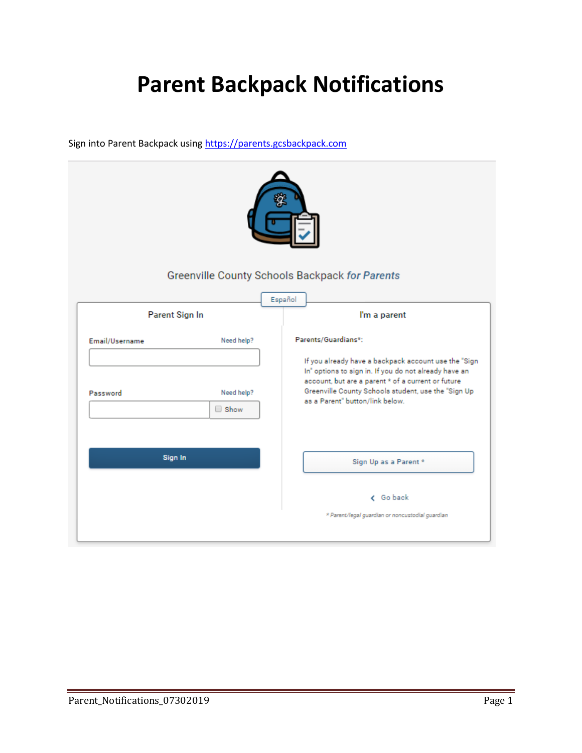## **Parent Backpack Notifications**

Sign into Parent Backpack usin[g https://parents.gcsbackpack.com](https://parents.gcsbackpack.com/)

|                                | Greenville County Schools Backpack for Parents                                                                                                                                                                                                                |
|--------------------------------|---------------------------------------------------------------------------------------------------------------------------------------------------------------------------------------------------------------------------------------------------------------|
| Parent Sign In                 | Español<br>I'm a parent                                                                                                                                                                                                                                       |
| Email/Username<br>Need help?   | Parents/Guardians*:                                                                                                                                                                                                                                           |
| Need help?<br>Password<br>Show | If you already have a backpack account use the "Sign<br>In" options to sign in. If you do not already have an<br>account, but are a parent * of a current or future<br>Greenville County Schools student, use the "Sign Up<br>as a Parent" button/link below. |
| Sign In                        | Sign Up as a Parent *                                                                                                                                                                                                                                         |
|                                | < Go back                                                                                                                                                                                                                                                     |
|                                | * Parent/legal guardian or noncustodial guardian                                                                                                                                                                                                              |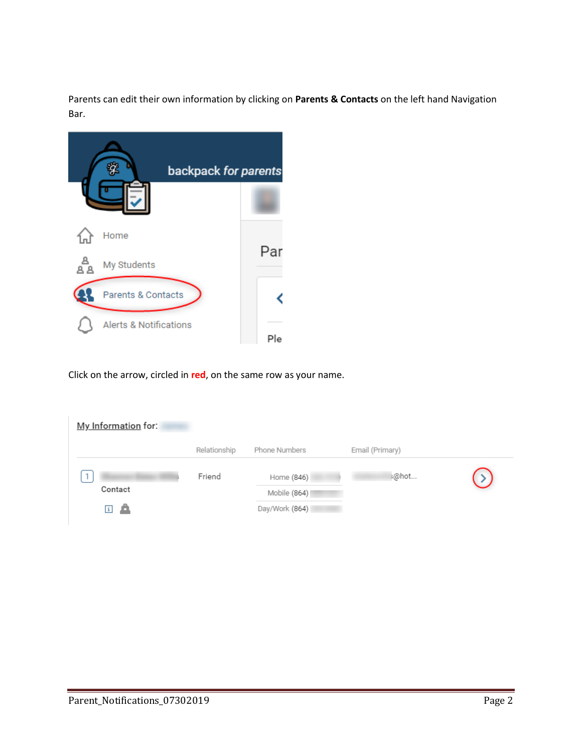Parents can edit their own information by clicking on **Parents & Contacts** on the left hand Navigation Bar.



Click on the arrow, circled in **red**, on the same row as your name.

| My Information for:           |              |                |                 |  |
|-------------------------------|--------------|----------------|-----------------|--|
|                               | Relationship | Phone Numbers  | Email (Primary) |  |
|                               | Friend       | Home (846)     | :@hot           |  |
| Contact                       |              | Mobile (864)   |                 |  |
| $\vert \mathbf{1} \vert$<br>▱ |              | Day/Work (864) |                 |  |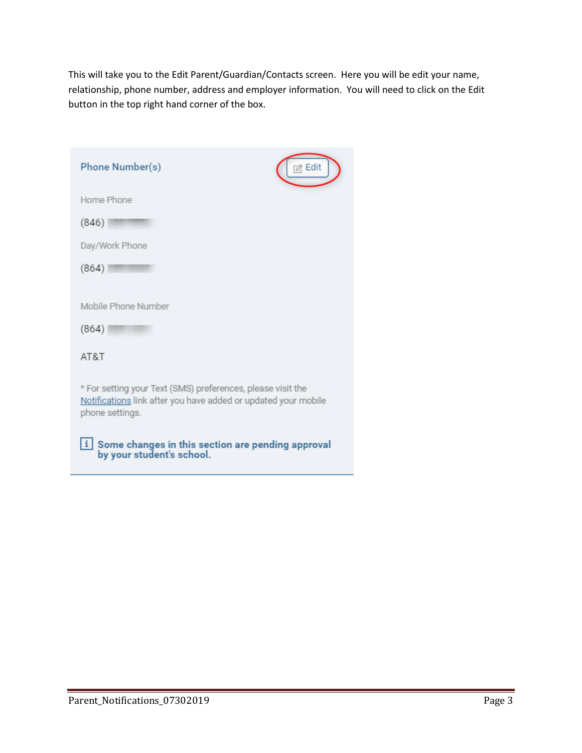This will take you to the Edit Parent/Guardian/Contacts screen. Here you will be edit your name, relationship, phone number, address and employer information. You will need to click on the Edit button in the top right hand corner of the box.

| Phone Number(s)                                                                                                                                  | Edit |
|--------------------------------------------------------------------------------------------------------------------------------------------------|------|
| Home Phone                                                                                                                                       |      |
| (846)                                                                                                                                            |      |
| Day/Work Phone                                                                                                                                   |      |
| (864)                                                                                                                                            |      |
| Mobile Phone Number<br>(864)                                                                                                                     |      |
| AT&T                                                                                                                                             |      |
| * For setting your Text (SMS) preferences, please visit the<br>Notifications link after you have added or updated your mobile<br>phone settings. |      |
| Some changes in this section are pending approval<br>by your student's school.                                                                   |      |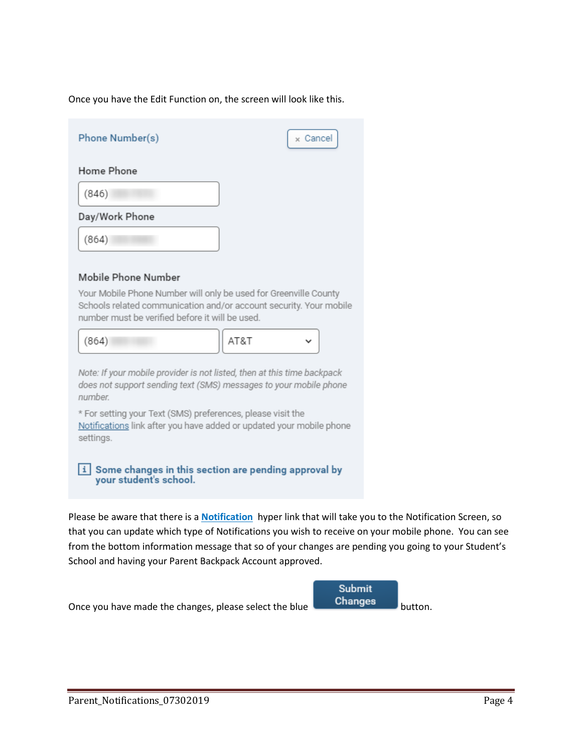Once you have the Edit Function on, the screen will look like this.

| Phone Number(s)                                                                                                                                                                           | x Cancel  |  |
|-------------------------------------------------------------------------------------------------------------------------------------------------------------------------------------------|-----------|--|
| Home Phone                                                                                                                                                                                |           |  |
| (846)                                                                                                                                                                                     |           |  |
| Day/Work Phone                                                                                                                                                                            |           |  |
| (864)                                                                                                                                                                                     |           |  |
| Mobile Phone Number                                                                                                                                                                       |           |  |
| Your Mobile Phone Number will only be used for Greenville County<br>Schools related communication and/or account security. Your mobile<br>number must be verified before it will be used. |           |  |
| (864)                                                                                                                                                                                     | AT&T<br>v |  |
| Note: If your mobile provider is not listed, then at this time backpack<br>does not support sending text (SMS) messages to your mobile phone<br>number.                                   |           |  |
| * For setting your Text (SMS) preferences, please visit the<br>Notifications link after you have added or updated your mobile phone<br>settings.                                          |           |  |
| $\vert i \vert$ Some changes in this section are pending approval by<br>your student's school.                                                                                            |           |  |
| Please be aware that there is a <b>Notification</b> hyper link that will take you to the Notification Screen, so                                                                          |           |  |

that you can update which type of Notifications you wish to receive on your mobile phone. You can see from the bottom information message that so of your changes are pending you going to your Student's School and having your Parent Backpack Account approved.

Once you have made the changes, please select the blue button.